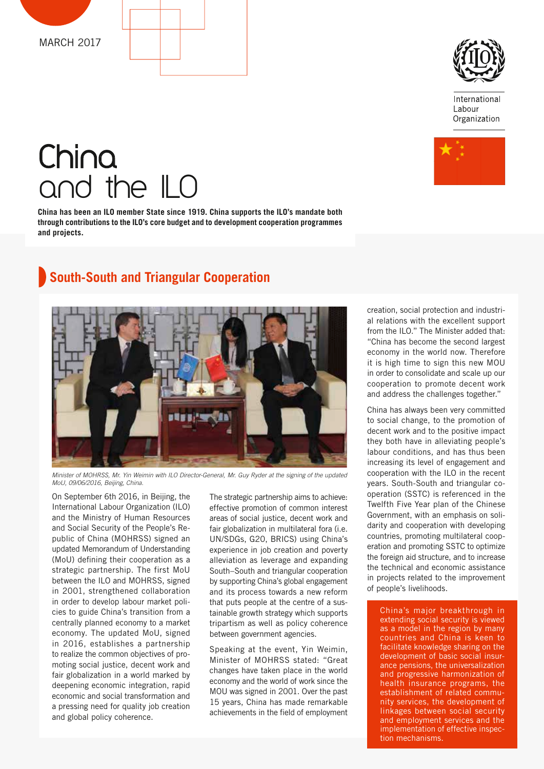



International Labour Organization



# China and the ILO

**China has been an ILO member State since 1919. China supports the ILO's mandate both through contributions to the ILO's core budget and to development cooperation programmes and projects.** 

# **South-South and Triangular Cooperation**



*Minister of MOHRSS, Mr. Yin Weimin with ILO Director-General, Mr. Guy Ryder at the signing of the updated MoU, 09/06/2016, Beijing, China.*

On September 6th 2016, in Beijing, the International Labour Organization (ILO) and the Ministry of Human Resources and Social Security of the People's Republic of China (MOHRSS) signed an updated Memorandum of Understanding (MoU) defining their cooperation as a strategic partnership. The first MoU between the ILO and MOHRSS, signed in 2001, strengthened collaboration in order to develop labour market policies to guide China's transition from a centrally planned economy to a market economy. The updated MoU, signed in 2016, establishes a partnership to realize the common objectives of promoting social justice, decent work and fair globalization in a world marked by deepening economic integration, rapid economic and social transformation and a pressing need for quality job creation and global policy coherence.

The strategic partnership aims to achieve: effective promotion of common interest areas of social justice, decent work and fair globalization in multilateral fora (i.e. UN/SDGs, G20, BRICS) using China's experience in job creation and poverty alleviation as leverage and expanding South–South and triangular cooperation by supporting China's global engagement and its process towards a new reform that puts people at the centre of a sustainable growth strategy which supports tripartism as well as policy coherence between government agencies.

Speaking at the event, Yin Weimin, Minister of MOHRSS stated: "Great changes have taken place in the world economy and the world of work since the MOU was signed in 2001. Over the past 15 years, China has made remarkable achievements in the field of employment creation, social protection and industrial relations with the excellent support from the ILO." The Minister added that: "China has become the second largest economy in the world now. Therefore it is high time to sign this new MOU in order to consolidate and scale up our cooperation to promote decent work and address the challenges together."

China has always been very committed to social change, to the promotion of decent work and to the positive impact they both have in alleviating people's labour conditions, and has thus been increasing its level of engagement and cooperation with the ILO in the recent years. South-South and triangular cooperation (SSTC) is referenced in the Twelfth Five Year plan of the Chinese Government, with an emphasis on solidarity and cooperation with developing countries, promoting multilateral cooperation and promoting SSTC to optimize the foreign aid structure, and to increase the technical and economic assistance in projects related to the improvement of people's livelihoods.

China's major breakthrough in extending social security is viewed as a model in the region by many countries and China is keen to facilitate knowledge sharing on the development of basic social insurance pensions, the universalization and progressive harmonization of health insurance programs, the establishment of related community services, the development of linkages between social security and employment services and the implementation of effective inspection mechanisms.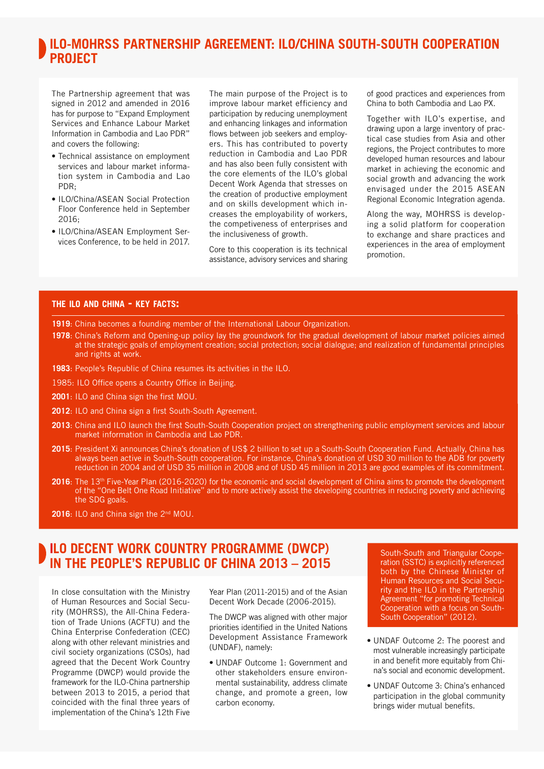## **ILO-MOHRSS PARTNERSHIP AGREEMENT: ILO/CHINA SOUTH-SOUTH COOPERATION PROJECT**

The Partnership agreement that was signed in 2012 and amended in 2016 has for purpose to "Expand Employment Services and Enhance Labour Market Information in Cambodia and Lao PDR" and covers the following:

- Technical assistance on employment services and labour market information system in Cambodia and Lao PDR;
- ILO/China/ASEAN Social Protection Floor Conference held in September  $2016.$
- ILO/China/ASEAN Employment Services Conference, to be held in 2017.

The main purpose of the Project is to improve labour market efficiency and participation by reducing unemployment and enhancing linkages and information flows between job seekers and employers. This has contributed to poverty reduction in Cambodia and Lao PDR and has also been fully consistent with the core elements of the ILO's global Decent Work Agenda that stresses on the creation of productive employment and on skills development which increases the employability of workers, the competiveness of enterprises and the inclusiveness of growth.

Core to this cooperation is its technical assistance, advisory services and sharing of good practices and experiences from China to both Cambodia and Lao PX.

Together with ILO's expertise, and drawing upon a large inventory of practical case studies from Asia and other regions, the Project contributes to more developed human resources and labour market in achieving the economic and social growth and advancing the work envisaged under the 2015 ASEAN Regional Economic Integration agenda.

Along the way, MOHRSS is developing a solid platform for cooperation to exchange and share practices and experiences in the area of employment promotion.

#### **THE ILO AND CHINA - KEY FACTS:**

**1919**: China becomes a founding member of the International Labour Organization.

- **1978**: China's Reform and Opening-up policy lay the groundwork for the gradual development of labour market policies aimed at the strategic goals of employment creation; social protection; social dialogue; and realization of fundamental principles and rights at work.
- **1983**: People's Republic of China resumes its activities in the ILO.
- 1985: ILO Office opens a Country Office in Beijing.
- **2001**: ILO and China sign the first MOU.
- **2012**: ILO and China sign a first South-South Agreement.
- **2013**: China and ILO launch the first South-South Cooperation project on strengthening public employment services and labour market information in Cambodia and Lao PDR.
- **2015**: President Xi announces China's donation of US\$ 2 billion to set up a South-South Cooperation Fund. Actually, China has always been active in South-South cooperation. For instance, China's donation of USD 30 million to the ADB for poverty reduction in 2004 and of USD 35 million in 2008 and of USD 45 million in 2013 are good examples of its commitment.
- **2016**: The 13<sup>th</sup> Five-Year Plan (2016-2020) for the economic and social development of China aims to promote the development of the "One Belt One Road Initiative" and to more actively assist the developing countries in reducing poverty and achieving the SDG goals.
- 2016: ILO and China sign the 2<sup>nd</sup> MOU.

## **ILO DECENT WORK COUNTRY PROGRAMME (DWCP) IN THE PEOPLE'S REPUBLIC OF CHINA 2013 – 2015**

In close consultation with the Ministry of Human Resources and Social Security (MOHRSS), the All-China Federation of Trade Unions (ACFTU) and the China Enterprise Confederation (CEC) along with other relevant ministries and civil society organizations (CSOs), had agreed that the Decent Work Country Programme (DWCP) would provide the framework for the ILO-China partnership between 2013 to 2015, a period that coincided with the final three years of implementation of the China's 12th Five

Year Plan (2011-2015) and of the Asian Decent Work Decade (2006-2015).

The DWCP was aligned with other major priorities identified in the United Nations Development Assistance Framework (UNDAF), namely:

• UNDAF Outcome 1: Government and other stakeholders ensure environmental sustainability, address climate change, and promote a green, low carbon economy.

South-South and Triangular Cooperation (SSTC) is explicitly referenced both by the Chinese Minister of Human Resources and Social Security and the ILO in the Partnership Agreement "for promoting Technical Cooperation with a focus on South-South Cooperation" (2012).

- UNDAF Outcome 2: The poorest and most vulnerable increasingly participate in and benefit more equitably from China's social and economic development.
- UNDAF Outcome 3: China's enhanced participation in the global community brings wider mutual benefits.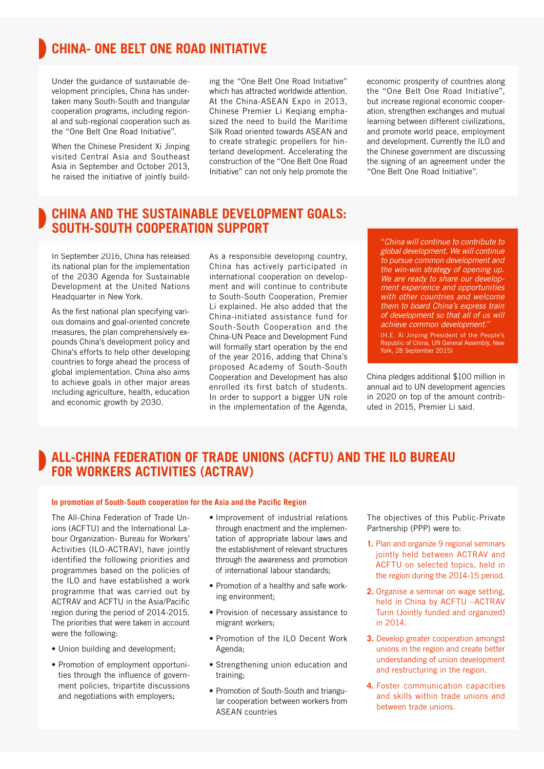# **CHINA- ONE BELT ONE ROAD INITIATIVE**

Under the guidance of sustainable development principles, China has undertaken many South-South and triangular cooperation programs, including regional and sub-regional cooperation such as the "One Belt One Road Initiative".

When the Chinese President Xi Jinping visited Central Asia and Southeast Asia in September and October 2013, he raised the initiative of jointly build-

ing the "One Belt One Road Initiative" which has attracted worldwide attention. At the China-ASEAN Expo in 2013, Chinese Premier Li Keqiang emphasized the need to build the Maritime Silk Road oriented towards ASEAN and to create strategic propellers for hinterland development. Accelerating the construction of the "One Belt One Road Initiative" can not only help promote the

economic prosperity of countries along the "One Belt One Road Initiative", but increase regional economic cooperation, strengthen exchanges and mutual learning between different civilizations, and promote world peace, employment and development. Currently the ILO and the Chinese government are discussing the signing of an agreement under the "One Belt One Road Initiative".

### **CHINA AND THE SUSTAINABLE DEVELOPMENT GOALS: SOUTH-SOUTH COOPERATION SUPPORT**

In September 2016, China has released its national plan for the implementation of the 2030 Agenda for Sustainable Development at the United Nations Headquarter in New York.

As the first national plan specifying various domains and goal-oriented concrete measures, the plan comprehensively expounds China's development policy and China's efforts to help other developing countries to forge ahead the process of global implementation. China also aims to achieve goals in other major areas including agriculture, health, education and economic growth by 2030.

As a responsible developing country, China has actively participated in international cooperation on development and will continue to contribute to South-South Cooperation, Premier Li explained. He also added that the China-initiated assistance fund for South-South Cooperation and the China-UN Peace and Development Fund will formally start operation by the end of the year 2016, adding that China's proposed Academy of South-South Cooperation and Development has also enrolled its first batch of students. In order to support a bigger UN role in the implementation of the Agenda,

"*China will continue to contribute to global development. We will continue to pursue common development and the win-win strategy of opening up. We are ready to share our development experience and opportunities with other countries and welcome them to board China's express train of development so that all of us will achieve common development.*"

(H.E. Xi Jinping President of the People's Republic of China, UN General Assembly, New York, 28 September 2015)

China pledges additional \$100 million in annual aid to UN development agencies in 2020 on top of the amount contributed in 2015, Premier Li said.

## **ALL-CHINA FEDERATION OF TRADE UNIONS (ACFTU) AND THE ILO BUREAU FOR WORKERS ACTIVITIES (ACTRAV)**

#### In promotion of South-South cooperation for the Asia and the Pacific Region

The All-China Federation of Trade Unions (ACFTU) and the International Labour Organization- Bureau for Workers' Activities (ILO-ACTRAV), have jointly identified the following priorities and programmes based on the policies of the ILO and have established a work programme that was carried out by ACTRAV and ACFTU in the Asia/Pacific region during the period of 2014-2015. The priorities that were taken in account were the following:

- Union building and development;
- Promotion of employment opportunities through the influence of government policies, tripartite discussions and negotiations with employers;
- Improvement of industrial relations through enactment and the implementation of appropriate labour laws and the establishment of relevant structures through the awareness and promotion of international labour standards;
- Promotion of a healthy and safe working environment;
- Provision of necessary assistance to migrant workers;
- Promotion of the ILO Decent Work Agenda;
- Strengthening union education and training;
- Promotion of South-South and triangular cooperation between workers from ASEAN countries

The objectives of this Public-Private Partnership (PPP) were to:

- **1.** Plan and organize 9 regional seminars jointly held between ACTRAV and ACFTU on selected topics, held in the region during the 2014-15 period.
- **2.** Organise a seminar on wage setting, held in China by ACFTU –ACTRAV Turin (Jointly funded and organized) in 2014.
- **3.** Develop greater cooperation amongst unions in the region and create better understanding of union development and restructuring in the region.
- **4.** Foster communication capacities and skills within trade unions and between trade unions.